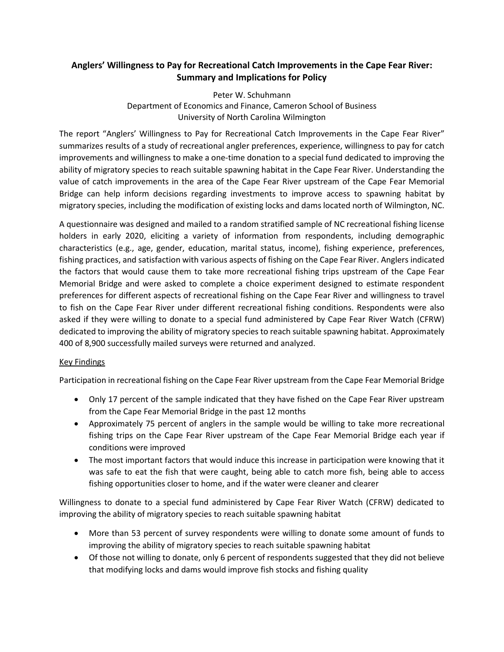## **Anglers' Willingness to Pay for Recreational Catch Improvements in the Cape Fear River: Summary and Implications for Policy**

Peter W. Schuhmann Department of Economics and Finance, Cameron School of Business University of North Carolina Wilmington

The report "Anglers' Willingness to Pay for Recreational Catch Improvements in the Cape Fear River" summarizes results of a study of recreational angler preferences, experience, willingness to pay for catch improvements and willingness to make a one-time donation to a special fund dedicated to improving the ability of migratory species to reach suitable spawning habitat in the Cape Fear River. Understanding the value of catch improvements in the area of the Cape Fear River upstream of the Cape Fear Memorial Bridge can help inform decisions regarding investments to improve access to spawning habitat by migratory species, including the modification of existing locks and dams located north of Wilmington, NC.

A questionnaire was designed and mailed to a random stratified sample of NC recreational fishing license holders in early 2020, eliciting a variety of information from respondents, including demographic characteristics (e.g., age, gender, education, marital status, income), fishing experience, preferences, fishing practices, and satisfaction with various aspects of fishing on the Cape Fear River. Anglers indicated the factors that would cause them to take more recreational fishing trips upstream of the Cape Fear Memorial Bridge and were asked to complete a choice experiment designed to estimate respondent preferences for different aspects of recreational fishing on the Cape Fear River and willingness to travel to fish on the Cape Fear River under different recreational fishing conditions. Respondents were also asked if they were willing to donate to a special fund administered by Cape Fear River Watch (CFRW) dedicated to improving the ability of migratory species to reach suitable spawning habitat. Approximately 400 of 8,900 successfully mailed surveys were returned and analyzed.

## Key Findings

Participation in recreational fishing on the Cape Fear River upstream from the Cape Fear Memorial Bridge

- Only 17 percent of the sample indicated that they have fished on the Cape Fear River upstream from the Cape Fear Memorial Bridge in the past 12 months
- Approximately 75 percent of anglers in the sample would be willing to take more recreational fishing trips on the Cape Fear River upstream of the Cape Fear Memorial Bridge each year if conditions were improved
- The most important factors that would induce this increase in participation were knowing that it was safe to eat the fish that were caught, being able to catch more fish, being able to access fishing opportunities closer to home, and if the water were cleaner and clearer

Willingness to donate to a special fund administered by Cape Fear River Watch (CFRW) dedicated to improving the ability of migratory species to reach suitable spawning habitat

- More than 53 percent of survey respondents were willing to donate some amount of funds to improving the ability of migratory species to reach suitable spawning habitat
- Of those not willing to donate, only 6 percent of respondents suggested that they did not believe that modifying locks and dams would improve fish stocks and fishing quality